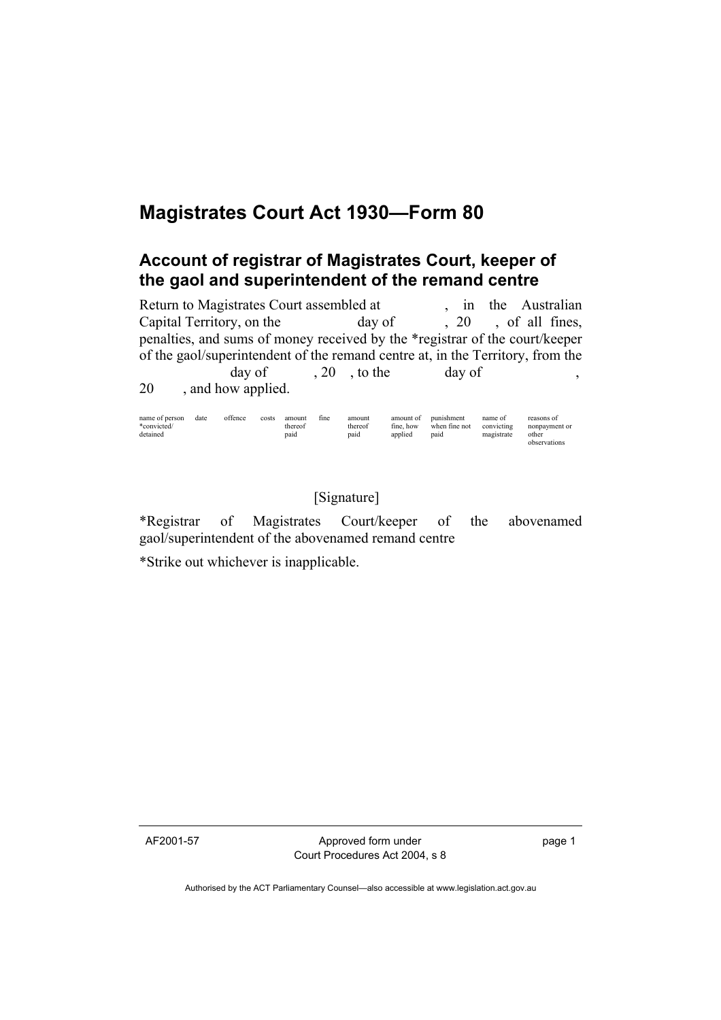## **Magistrates Court Act 1930—Form 80**

## **Account of registrar of Magistrates Court, keeper of the gaol and superintendent of the remand centre**

Return to Magistrates Court assembled at , in the Australian Capital Territory, on the day of , 20, of all fines, penalties, and sums of money received by the \*registrar of the court/keeper of the gaol/superintendent of the remand centre at, in the Territory, from the day of  $, 20$ , to the day of , 20 , and how applied.

| name of person | date | offence | costs | amount  | fine | amount  | amount of | punishment    | name of    | reasons of    |
|----------------|------|---------|-------|---------|------|---------|-----------|---------------|------------|---------------|
| *convicted/    |      |         |       | thereof |      | thereof | fine, how | when fine not | convicting | nonpayment or |
| detained       |      |         |       | paid    |      | paid    | applied   | paid          | magistrate | other         |
|                |      |         |       |         |      |         |           |               |            | observations  |

## [Signature]

\*Registrar of Magistrates Court/keeper of the abovenamed gaol/superintendent of the abovenamed remand centre

\*Strike out whichever is inapplicable.

AF2001-57 Approved form under Court Procedures Act 2004, s 8 page 1

Authorised by the ACT Parliamentary Counsel—also accessible at www.legislation.act.gov.au